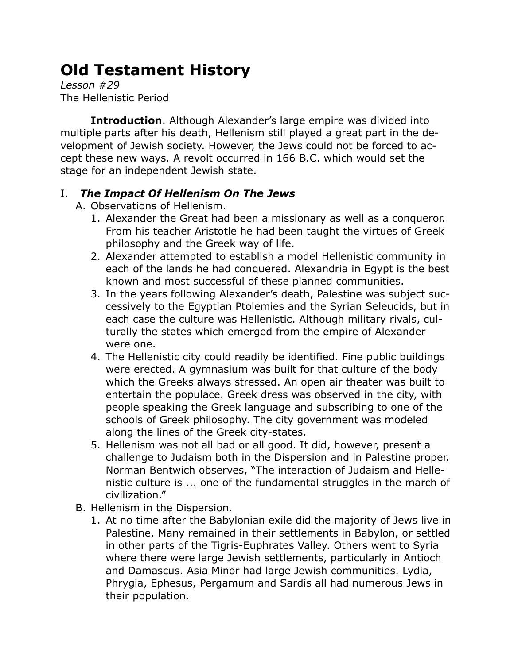## **Old Testament History**

*Lesson #29* The Hellenistic Period

**Introduction**. Although Alexander's large empire was divided into multiple parts after his death, Hellenism still played a great part in the development of Jewish society. However, the Jews could not be forced to accept these new ways. A revolt occurred in 166 B.C. which would set the stage for an independent Jewish state.

## I. *The Impact Of Hellenism On The Jews*

- A. Observations of Hellenism.
	- 1. Alexander the Great had been a missionary as well as a conqueror. From his teacher Aristotle he had been taught the virtues of Greek philosophy and the Greek way of life.
	- 2. Alexander attempted to establish a model Hellenistic community in each of the lands he had conquered. Alexandria in Egypt is the best known and most successful of these planned communities.
	- 3. In the years following Alexander's death, Palestine was subject successively to the Egyptian Ptolemies and the Syrian Seleucids, but in each case the culture was Hellenistic. Although military rivals, culturally the states which emerged from the empire of Alexander were one.
	- 4. The Hellenistic city could readily be identified. Fine public buildings were erected. A gymnasium was built for that culture of the body which the Greeks always stressed. An open air theater was built to entertain the populace. Greek dress was observed in the city, with people speaking the Greek language and subscribing to one of the schools of Greek philosophy. The city government was modeled along the lines of the Greek city-states.
	- 5. Hellenism was not all bad or all good. It did, however, present a challenge to Judaism both in the Dispersion and in Palestine proper. Norman Bentwich observes, "The interaction of Judaism and Hellenistic culture is ... one of the fundamental struggles in the march of civilization."
- B. Hellenism in the Dispersion.
	- 1. At no time after the Babylonian exile did the majority of Jews live in Palestine. Many remained in their settlements in Babylon, or settled in other parts of the Tigris-Euphrates Valley. Others went to Syria where there were large Jewish settlements, particularly in Antioch and Damascus. Asia Minor had large Jewish communities. Lydia, Phrygia, Ephesus, Pergamum and Sardis all had numerous Jews in their population.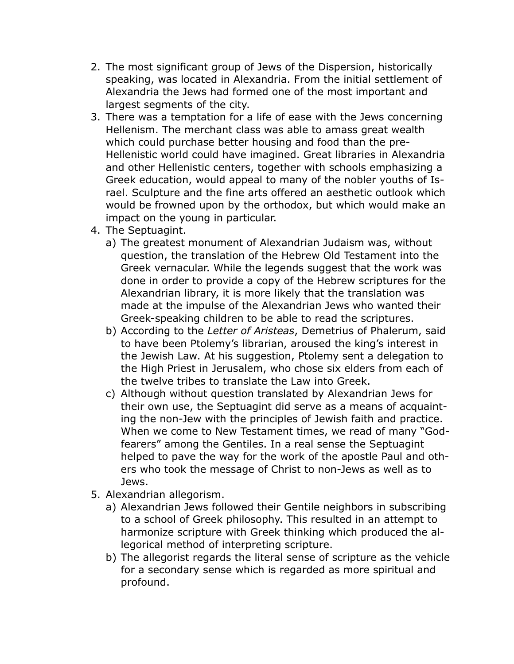- 2. The most significant group of Jews of the Dispersion, historically speaking, was located in Alexandria. From the initial settlement of Alexandria the Jews had formed one of the most important and largest segments of the city.
- 3. There was a temptation for a life of ease with the Jews concerning Hellenism. The merchant class was able to amass great wealth which could purchase better housing and food than the pre-Hellenistic world could have imagined. Great libraries in Alexandria and other Hellenistic centers, together with schools emphasizing a Greek education, would appeal to many of the nobler youths of Israel. Sculpture and the fine arts offered an aesthetic outlook which would be frowned upon by the orthodox, but which would make an impact on the young in particular.
- 4. The Septuagint.
	- a) The greatest monument of Alexandrian Judaism was, without question, the translation of the Hebrew Old Testament into the Greek vernacular. While the legends suggest that the work was done in order to provide a copy of the Hebrew scriptures for the Alexandrian library, it is more likely that the translation was made at the impulse of the Alexandrian Jews who wanted their Greek-speaking children to be able to read the scriptures.
	- b) According to the *Letter of Aristeas*, Demetrius of Phalerum, said to have been Ptolemy's librarian, aroused the king's interest in the Jewish Law. At his suggestion, Ptolemy sent a delegation to the High Priest in Jerusalem, who chose six elders from each of the twelve tribes to translate the Law into Greek.
	- c) Although without question translated by Alexandrian Jews for their own use, the Septuagint did serve as a means of acquainting the non-Jew with the principles of Jewish faith and practice. When we come to New Testament times, we read of many "Godfearers" among the Gentiles. In a real sense the Septuagint helped to pave the way for the work of the apostle Paul and others who took the message of Christ to non-Jews as well as to Jews.
- 5. Alexandrian allegorism.
	- a) Alexandrian Jews followed their Gentile neighbors in subscribing to a school of Greek philosophy. This resulted in an attempt to harmonize scripture with Greek thinking which produced the allegorical method of interpreting scripture.
	- b) The allegorist regards the literal sense of scripture as the vehicle for a secondary sense which is regarded as more spiritual and profound.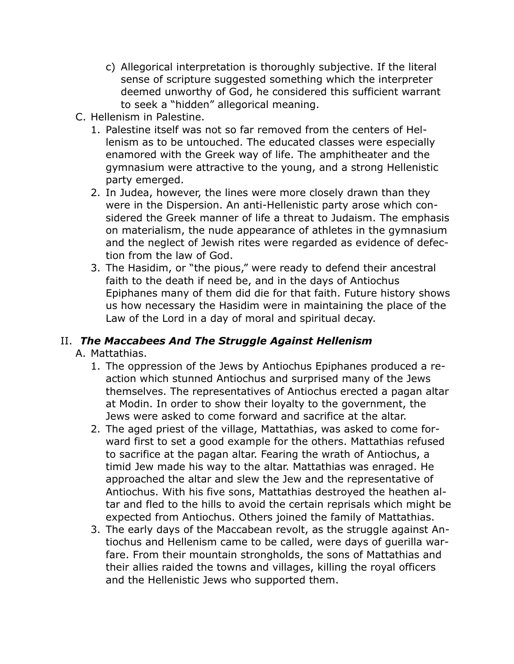- c) Allegorical interpretation is thoroughly subjective. If the literal sense of scripture suggested something which the interpreter deemed unworthy of God, he considered this sufficient warrant to seek a "hidden" allegorical meaning.
- C. Hellenism in Palestine.
	- 1. Palestine itself was not so far removed from the centers of Hellenism as to be untouched. The educated classes were especially enamored with the Greek way of life. The amphitheater and the gymnasium were attractive to the young, and a strong Hellenistic party emerged.
	- 2. In Judea, however, the lines were more closely drawn than they were in the Dispersion. An anti-Hellenistic party arose which considered the Greek manner of life a threat to Judaism. The emphasis on materialism, the nude appearance of athletes in the gymnasium and the neglect of Jewish rites were regarded as evidence of defection from the law of God.
	- 3. The Hasidim, or "the pious," were ready to defend their ancestral faith to the death if need be, and in the days of Antiochus Epiphanes many of them did die for that faith. Future history shows us how necessary the Hasidim were in maintaining the place of the Law of the Lord in a day of moral and spiritual decay.

## II. *The Maccabees And The Struggle Against Hellenism*

A. Mattathias.

- 1. The oppression of the Jews by Antiochus Epiphanes produced a reaction which stunned Antiochus and surprised many of the Jews themselves. The representatives of Antiochus erected a pagan altar at Modin. In order to show their loyalty to the government, the Jews were asked to come forward and sacrifice at the altar.
- 2. The aged priest of the village, Mattathias, was asked to come forward first to set a good example for the others. Mattathias refused to sacrifice at the pagan altar. Fearing the wrath of Antiochus, a timid Jew made his way to the altar. Mattathias was enraged. He approached the altar and slew the Jew and the representative of Antiochus. With his five sons, Mattathias destroyed the heathen altar and fled to the hills to avoid the certain reprisals which might be expected from Antiochus. Others joined the family of Mattathias.
- 3. The early days of the Maccabean revolt, as the struggle against Antiochus and Hellenism came to be called, were days of guerilla warfare. From their mountain strongholds, the sons of Mattathias and their allies raided the towns and villages, killing the royal officers and the Hellenistic Jews who supported them.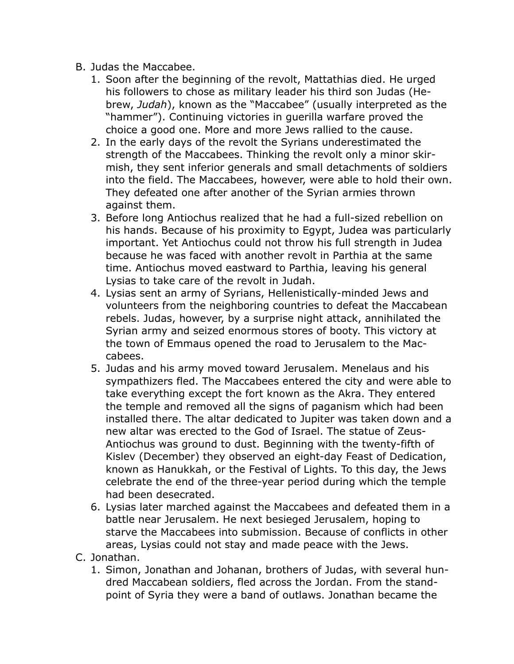- B. Judas the Maccabee.
	- 1. Soon after the beginning of the revolt, Mattathias died. He urged his followers to chose as military leader his third son Judas (Hebrew, *Judah*), known as the "Maccabee" (usually interpreted as the "hammer"). Continuing victories in guerilla warfare proved the choice a good one. More and more Jews rallied to the cause.
	- 2. In the early days of the revolt the Syrians underestimated the strength of the Maccabees. Thinking the revolt only a minor skirmish, they sent inferior generals and small detachments of soldiers into the field. The Maccabees, however, were able to hold their own. They defeated one after another of the Syrian armies thrown against them.
	- 3. Before long Antiochus realized that he had a full-sized rebellion on his hands. Because of his proximity to Egypt, Judea was particularly important. Yet Antiochus could not throw his full strength in Judea because he was faced with another revolt in Parthia at the same time. Antiochus moved eastward to Parthia, leaving his general Lysias to take care of the revolt in Judah.
	- 4. Lysias sent an army of Syrians, Hellenistically-minded Jews and volunteers from the neighboring countries to defeat the Maccabean rebels. Judas, however, by a surprise night attack, annihilated the Syrian army and seized enormous stores of booty. This victory at the town of Emmaus opened the road to Jerusalem to the Maccabees.
	- 5. Judas and his army moved toward Jerusalem. Menelaus and his sympathizers fled. The Maccabees entered the city and were able to take everything except the fort known as the Akra. They entered the temple and removed all the signs of paganism which had been installed there. The altar dedicated to Jupiter was taken down and a new altar was erected to the God of Israel. The statue of Zeus-Antiochus was ground to dust. Beginning with the twenty-fifth of Kislev (December) they observed an eight-day Feast of Dedication, known as Hanukkah, or the Festival of Lights. To this day, the Jews celebrate the end of the three-year period during which the temple had been desecrated.
	- 6. Lysias later marched against the Maccabees and defeated them in a battle near Jerusalem. He next besieged Jerusalem, hoping to starve the Maccabees into submission. Because of conflicts in other areas, Lysias could not stay and made peace with the Jews.
- C. Jonathan.
	- 1. Simon, Jonathan and Johanan, brothers of Judas, with several hundred Maccabean soldiers, fled across the Jordan. From the standpoint of Syria they were a band of outlaws. Jonathan became the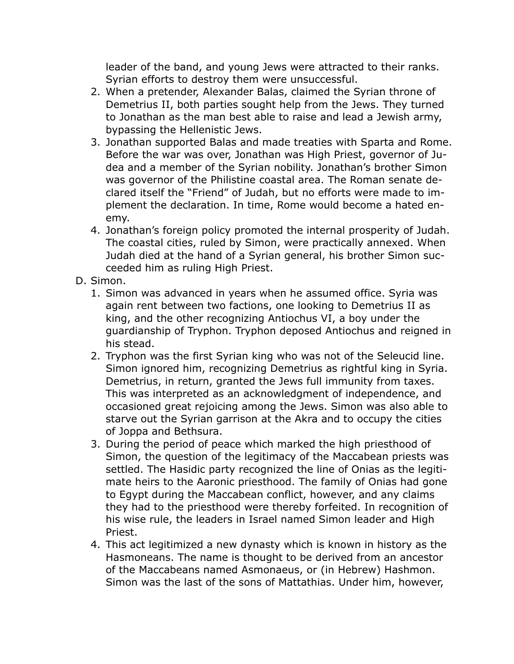leader of the band, and young Jews were attracted to their ranks. Syrian efforts to destroy them were unsuccessful.

- 2. When a pretender, Alexander Balas, claimed the Syrian throne of Demetrius II, both parties sought help from the Jews. They turned to Jonathan as the man best able to raise and lead a Jewish army, bypassing the Hellenistic Jews.
- 3. Jonathan supported Balas and made treaties with Sparta and Rome. Before the war was over, Jonathan was High Priest, governor of Judea and a member of the Syrian nobility. Jonathan's brother Simon was governor of the Philistine coastal area. The Roman senate declared itself the "Friend" of Judah, but no efforts were made to implement the declaration. In time, Rome would become a hated enemy.
- 4. Jonathan's foreign policy promoted the internal prosperity of Judah. The coastal cities, ruled by Simon, were practically annexed. When Judah died at the hand of a Syrian general, his brother Simon succeeded him as ruling High Priest.
- D. Simon.
	- 1. Simon was advanced in years when he assumed office. Syria was again rent between two factions, one looking to Demetrius II as king, and the other recognizing Antiochus VI, a boy under the guardianship of Tryphon. Tryphon deposed Antiochus and reigned in his stead.
	- 2. Tryphon was the first Syrian king who was not of the Seleucid line. Simon ignored him, recognizing Demetrius as rightful king in Syria. Demetrius, in return, granted the Jews full immunity from taxes. This was interpreted as an acknowledgment of independence, and occasioned great rejoicing among the Jews. Simon was also able to starve out the Syrian garrison at the Akra and to occupy the cities of Joppa and Bethsura.
	- 3. During the period of peace which marked the high priesthood of Simon, the question of the legitimacy of the Maccabean priests was settled. The Hasidic party recognized the line of Onias as the legitimate heirs to the Aaronic priesthood. The family of Onias had gone to Egypt during the Maccabean conflict, however, and any claims they had to the priesthood were thereby forfeited. In recognition of his wise rule, the leaders in Israel named Simon leader and High Priest.
	- 4. This act legitimized a new dynasty which is known in history as the Hasmoneans. The name is thought to be derived from an ancestor of the Maccabeans named Asmonaeus, or (in Hebrew) Hashmon. Simon was the last of the sons of Mattathias. Under him, however,